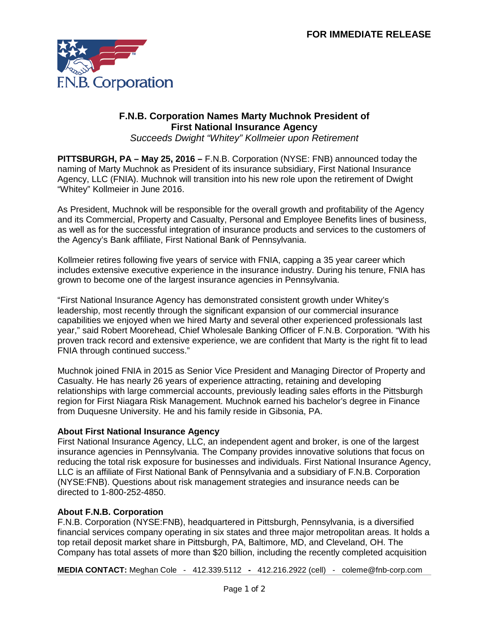

## **F.N.B. Corporation Names Marty Muchnok President of First National Insurance Agency**

*Succeeds Dwight "Whitey" Kollmeier upon Retirement* 

**PITTSBURGH, PA – May 25, 2016 –** F.N.B. Corporation (NYSE: FNB) announced today the naming of Marty Muchnok as President of its insurance subsidiary, First National Insurance Agency, LLC (FNIA). Muchnok will transition into his new role upon the retirement of Dwight "Whitey" Kollmeier in June 2016.

As President, Muchnok will be responsible for the overall growth and profitability of the Agency and its Commercial, Property and Casualty, Personal and Employee Benefits lines of business, as well as for the successful integration of insurance products and services to the customers of the Agency's Bank affiliate, First National Bank of Pennsylvania.

Kollmeier retires following five years of service with FNIA, capping a 35 year career which includes extensive executive experience in the insurance industry. During his tenure, FNIA has grown to become one of the largest insurance agencies in Pennsylvania.

"First National Insurance Agency has demonstrated consistent growth under Whitey's leadership, most recently through the significant expansion of our commercial insurance capabilities we enjoyed when we hired Marty and several other experienced professionals last year," said Robert Moorehead, Chief Wholesale Banking Officer of F.N.B. Corporation. "With his proven track record and extensive experience, we are confident that Marty is the right fit to lead FNIA through continued success."

Muchnok joined FNIA in 2015 as Senior Vice President and Managing Director of Property and Casualty. He has nearly 26 years of experience attracting, retaining and developing relationships with large commercial accounts, previously leading sales efforts in the Pittsburgh region for First Niagara Risk Management. Muchnok earned his bachelor's degree in Finance from Duquesne University. He and his family reside in Gibsonia, PA.

## **About First National Insurance Agency**

First National Insurance Agency, LLC, an independent agent and broker, is one of the largest insurance agencies in Pennsylvania. The Company provides innovative solutions that focus on reducing the total risk exposure for businesses and individuals. First National Insurance Agency, LLC is an affiliate of First National Bank of Pennsylvania and a subsidiary of F.N.B. Corporation (NYSE:FNB). Questions about risk management strategies and insurance needs can be directed to 1-800-252-4850.

## **About F.N.B. Corporation**

F.N.B. Corporation (NYSE:FNB), headquartered in Pittsburgh, Pennsylvania, is a diversified financial services company operating in six states and three major metropolitan areas. It holds a top retail deposit market share in Pittsburgh, PA, Baltimore, MD, and Cleveland, OH. The Company has total assets of more than \$20 billion, including the recently completed acquisition

**MEDIA CONTACT:** Meghan Cole - [412.339.5112](mailto:412.339.5112) **-** 412.216.2922 (cell) - coleme@fnb-corp.com